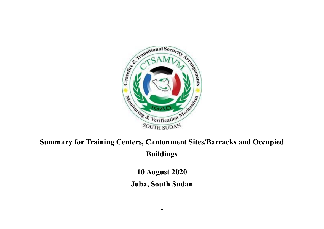

# **Summary for Training Centers, Cantonment Sites/Barracks and Occupied Buildings**

**10 August 2020**

### **Juba, South Sudan**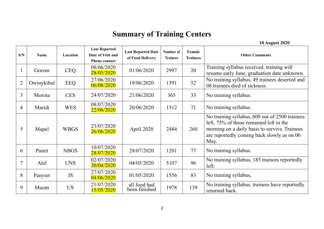## **Summary of Training Centers**

|  | <b>10 August 2020</b> |  |
|--|-----------------------|--|
|--|-----------------------|--|

| S/N            | <b>Name</b> | Location    | <b>Last Reported</b><br>Date of Visit and<br><b>Phone contact</b> | <b>Last Reported Date</b><br>of Food Delivery | Number of<br><b>Trainees</b> | Female<br><b>Trainees</b> | <b>Other Comments</b>                                                                                                                                                                            |
|----------------|-------------|-------------|-------------------------------------------------------------------|-----------------------------------------------|------------------------------|---------------------------|--------------------------------------------------------------------------------------------------------------------------------------------------------------------------------------------------|
|                | Gorom       | <b>CEQ</b>  | 08/06/2020<br>28/05/2020                                          | 01/06/2020                                    | 2997                         | 20                        | Training syllabus received, training will<br>resume early June, graduation date unknown.                                                                                                         |
| $\overline{2}$ | Owinykibul  | <b>EEQ</b>  | 27/06/2020<br>06/08/2020                                          | 19/06/2020                                    | 1591                         | 52                        | No training syllabus, 49 trainees deserted and<br>08 trainees died of sickness.                                                                                                                  |
| 3              | Morota      | <b>CES</b>  | 24/07/2020                                                        | 21/06/2020                                    | 365                          | 33                        | No training syllabus.                                                                                                                                                                            |
| 4              | Maridi      | <b>WES</b>  | 08/07/2020<br>22/06/2020                                          | 20/06/2020                                    | 1512                         | 71                        | No training syllabus.                                                                                                                                                                            |
| 5              | Mapel       | <b>WBGS</b> | 23/07/2020<br>26/06/2020                                          | April 2020                                    | 2484                         | 260                       | No training syllabus, 600 out of 2500 trainees<br>left, 75% of those remained left in the<br>morning on a daily basis to survive. Trainees<br>are reportedly coming back slowly as on 06<br>May. |
| 6              | Pantit      | <b>NBGS</b> | 10/07/2020<br>28/07/2020                                          | 28/07/2020                                    | 1201                         | 77                        | No training syllabus.                                                                                                                                                                            |
| 7              | Alel        | <b>UNS</b>  | 02/07/2020<br>30/04/2020                                          | 04/05/2020                                    | 5107                         | 96                        | No training syllabus, 185 trainees reportedly<br>left.                                                                                                                                           |
| 8              | Panyier     | JS          | 27/07/2020<br>04/06/2020                                          | 01/05/2020                                    | 1556                         | 83                        | No training syllabus,                                                                                                                                                                            |
| 9              | Muom        | <b>US</b>   | 21/07/2020<br>15/05/2020                                          | all food had<br>been finished                 | 1978                         | 139                       | No training syllabus, trainees have reportedly<br>returned back.                                                                                                                                 |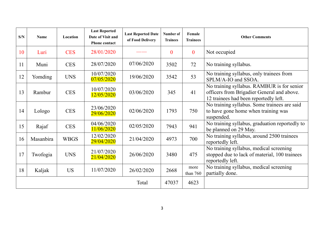| S/N | <b>Name</b> | Location    | <b>Last Reported</b><br>Date of Visit and<br><b>Phone contact</b> | <b>Last Reported Date</b><br>of Food Delivery | Number of<br><b>Trainees</b> | Female<br><b>Trainees</b> | <b>Other Comments</b>                                                                                                             |
|-----|-------------|-------------|-------------------------------------------------------------------|-----------------------------------------------|------------------------------|---------------------------|-----------------------------------------------------------------------------------------------------------------------------------|
| 10  | Luri        | <b>CES</b>  | 28/01/2020                                                        |                                               | $\mathbf{0}$                 | $\mathbf{0}$              | Not occupied                                                                                                                      |
| 11  | Muni        | <b>CES</b>  | 28/07/2020                                                        | 07/06/2020                                    | 3502                         | 72                        | No training syllabus.                                                                                                             |
| 12  | Yomding     | <b>UNS</b>  | 10/07/2020<br>07/05/2020                                          | 19/06/2020                                    | 3542                         | 53                        | No training syllabus, only trainees from<br>SPLM/A-IO and SSOA.                                                                   |
| 13  | Rambur      | <b>CES</b>  | 10/07/2020<br>12/05/2020                                          | 03/06/2020                                    | 345                          | 41                        | No training syllabus. RAMBUR is for senior<br>officers from Brigadier General and above.<br>12 trainees had been reportedly left. |
| 14  | Lologo      | <b>CES</b>  | 23/06/2020<br>29/06/2020                                          | 02/06/2020                                    | 1793                         | 750                       | No training syllabus. Some trainees are said<br>to have gone home when training was<br>suspended.                                 |
| 15  | Rajaf       | <b>CES</b>  | 04/06/2020<br>11/06/2020                                          | 02/05/2020                                    | 7943                         | 941                       | No training syllabus, graduation reportedly to<br>be planned on 29 May.                                                           |
| 16  | Masanbira   | <b>WBGS</b> | 12/02/2020<br>29/04/2020                                          | 21/04/2020                                    | 4973                         | 700                       | No training syllabus, around 2500 trainees<br>reportedly left.                                                                    |
| 17  | Twofogia    | <b>UNS</b>  | 21/07/2020<br>21/04/2020                                          | 26/06/2020                                    | 3480                         | 475                       | No training syllabus, medical screening<br>stopped due to lack of material, 100 trainees<br>reportedly left.                      |
| 18  | Kaljak      | <b>US</b>   | 11/07/2020                                                        | 26/02/2020                                    | 2668                         | more<br>than 760          | No training syllabus, medical screening<br>partially done.                                                                        |
|     |             |             |                                                                   | Total                                         | 47037                        | 4623                      |                                                                                                                                   |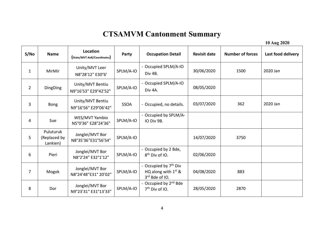### **CTSAMVM Cantonment Summary**

**10 Aug 2020**

| S/NO           | <b>Name</b>                           | Location<br>(State/MVT AoR/Coordinates)  | Party       | <b>Occupation Detail</b>                                                     | <b>Revisit date</b> | <b>Number of forces</b> | Last food delivery |
|----------------|---------------------------------------|------------------------------------------|-------------|------------------------------------------------------------------------------|---------------------|-------------------------|--------------------|
| $\mathbf{1}$   | MirMir                                | Unity/MVT Leer<br>N8°28'12" E30°6'       | SPLM/A-IO   | - Occupied SPLM/A-IO<br>Div 4B.                                              | 30/06/2020          | 1500                    | 2020 Jan           |
| $\overline{2}$ | DingDing                              | Unity/MVT Bentiu<br>N9°16'53" E29°42'52" | SPLM/A-IO   | - Occupied SPLM/A-IO<br>Div 4A.                                              | 08/05/2020          |                         |                    |
| $\overline{3}$ | <b>Bong</b>                           | Unity/MVT Bentiu<br>N9°16'56" E29°06'42" | <b>SSOA</b> | - Occupied, no details.                                                      | 03/07/2020          | 362                     | 2020 Jan           |
| 4              | Sue                                   | WES/MVT Yambio<br>N5°0'36" E28°24'36"    | SPLM/A-IO   | - Occupied by SPLM/A-<br>IO Div 9B.                                          |                     |                         |                    |
| 5              | Puluturuk<br>(Replaced by<br>Lankien) | Jonglei/MVT Bor<br>N8°35'36"E31°56'54"   | SPLM/A-IO   |                                                                              | 14/07/2020          | 3750                    |                    |
| 6              | Pieri                                 | Jonglei/MVT Bor<br>N8°2'24" E32°1'12"    | SPLM/A-IO   | - Occupied by 2 Bde,<br>$8th$ Div of IO.                                     | 02/06/2020          |                         |                    |
| $\overline{7}$ | Mogok                                 | Jonglei/MVT Bor<br>N8°24'48"E31° 20'02"  | SPLM/A-IO   | - Occupied by 7 <sup>th</sup> Div<br>HQ along with $1st$ &<br>3rd Bde of IO. | 04/08/2020          | 883                     |                    |
| 8              | Dor                                   | Jonglei/MVT Bor<br>N9°23'31" E31°13'33"  | SPLM/A-IO   | - Occupied by 2 <sup>nd</sup> Bde<br>$7th$ Div of IO.                        | 28/05/2020          | 2870                    |                    |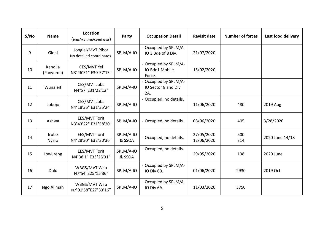| S/NO | <b>Name</b>          | Location<br>(State/MVT AoR/Coordinates)      | Party               | <b>Occupation Detail</b>                          | <b>Revisit date</b>      | <b>Number of forces</b> | Last food delivery |
|------|----------------------|----------------------------------------------|---------------------|---------------------------------------------------|--------------------------|-------------------------|--------------------|
| 9    | Gieni                | Jonglei/MVT Pibor<br>No detailed coordinates | SPLM/A-IO           | - Occupied by SPLM/A-<br>IO 3 Bde of 8 Div.       | 21/07/2020               |                         |                    |
| 10   | Kendila<br>(Panyume) | CES/MVT Yei<br>N3°46'51" E30°57'13"          | SPLM/A-IO           | - Occupied by SPLM/A-<br>IO Bde1 Mobile<br>Force. | 15/02/2020               |                         |                    |
| 11   | Wunaleit             | CES/MVT Juba<br>N4°57' E31°22'12"            | SPLM/A-IO           | Occupied by SPLM/A-<br>IO Sector 8 and Div<br>2A. |                          |                         |                    |
| 12   | Lobojo               | CES/MVT Juba<br>N4°18'36" E31°35'24"         | SPLM/A-IO           | - Occupied, no details.                           | 11/06/2020               | 480                     | 2019 Aug           |
| 13   | Ashwa                | EES/MVT Torit<br>N3°43'22" E31°58'20"        | SPLM/A-IO           | - Occupied, no details.                           | 08/06/2020               | 405                     | 3/28/2020          |
| 14   | Irube<br>Nyara       | EES/MVT Torit<br>N4°28'30" E32°30'36"        | SPLM/A-IO<br>& SSOA | - Occupied, no details.                           | 27/05/2020<br>12/06/2020 | 500<br>314              | 2020 June 14/18    |
| 15   | Lowureng             | EES/MVT Torit<br>N4°38'1" E33°26'31"         | SPLM/A-IO<br>& SSOA | - Occupied, no details.                           | 29/05/2020               | 138                     | 2020 June          |
| 16   | Dulu                 | WBGS/MVT Wau<br>N7°54' E25°15'36"            | SPLM/A-IO           | - Occupied by SPLM/A-<br>IO Div 6B.               | 01/06/2020               | 2930                    | 2019 Oct           |
| 17   | Ngo Alimah           | WBGS/MVT Wau<br>N7°01'58"E27°33'16"          | SPLM/A-IO           | - Occupied by SPLM/A-<br>IO Div 6A.               | 11/03/2020               | 3750                    |                    |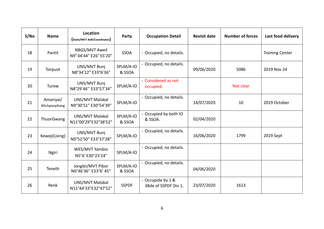| S/NO | <b>Name</b>                | Location<br>(State/MVT AoR/Coordinates)   | Party               | <b>Occupation Detail</b>                  | <b>Revisit date</b> | <b>Number of forces</b> | Last food delivery     |
|------|----------------------------|-------------------------------------------|---------------------|-------------------------------------------|---------------------|-------------------------|------------------------|
| 18   | Pantit                     | NBGS/MVT Aweil<br>N9º 04'44" E26° 55'20"  | <b>SSOA</b>         | - Occupied, no details.                   |                     |                         | <b>Training Center</b> |
| 19   | Torpuot                    | UNS/MVT Bunj<br>N8°34'12" E33°6'36"       | SPLM/A-IO<br>& SSOA | - Occupied, no details.                   | 09/06/2020          | 5086                    | 2019 Nov 24            |
| 20   | Turow                      | UNS/MVT Bunj<br>N8°29'46" E33°57'34"      | SPLM/A-IO           | - Considered as not<br>occupied.          |                     | Not clear               |                        |
| 21   | Amariyai/<br>Wichpanyikang | UNS/MVT Malakal<br>N9°30'51" E30°54'39"   | SPLM/A-IO           | - Occupied, no details.                   | 14/07/2020          | 10                      | 2019 October           |
| 22   | ThuorGwang                 | UNS/MVT Malakal<br>N11°00'29"E32°38'52"   | SPLM/A-IO<br>& SSOA | - Occupied by both IO<br>& SSOA.          | 02/04/2020          |                         |                        |
| 23   | Keweji(Lieng)              | UNS/MVT Bunj<br>N9°52'50" E33°37'28"      | SPLM/A-IO           | - Occupied, no details.                   | 16/06/2020          | 1799                    | 2019 Sept              |
| 24   | <b>Ngiri</b>               | WES/MVT Yambio<br>N5°6' E30°23'24"        | SPLM/A-IO           | - Occupied, no details.                   |                     |                         |                        |
| 25   | Teneth                     | Jonglei/MVT Pibor<br>N6°46'36" E33°6' 45" | SPLM/A-IO<br>& SSOA | - Occupied, no details.                   | 04/06/2020          |                         |                        |
| 26   | Renk                       | UNS/MVT Malakal<br>N11°44'33"E32°47'52"   | <b>SSPDF</b>        | - Occupide by 1 &<br>3Bde of SSPDF Div 1. | 23/07/2020          | 1613                    |                        |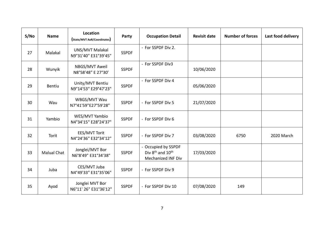| S/No | <b>Name</b>        | Location<br>(State/MVT AoR/Coordinates)  | Party        | <b>Occupation Detail</b>                                                              | <b>Revisit date</b> | <b>Number of forces</b> | Last food delivery |
|------|--------------------|------------------------------------------|--------------|---------------------------------------------------------------------------------------|---------------------|-------------------------|--------------------|
| 27   | Malakal            | UNS/MVT Malakal<br>N9°31'40" E31°39'45"  | <b>SSPDF</b> | - For SSPDF Div 2.                                                                    |                     |                         |                    |
| 28   | Wunyik             | NBGS/MVT Aweil<br>N8°58'48" E 27°30'     | <b>SSPDF</b> | - For SSPDF Div3                                                                      | 10/06/2020          |                         |                    |
| 29   | <b>Bentiu</b>      | Unity/MVT Bentiu<br>N9°14'53" E29°47'23" | <b>SSPDF</b> | - For SSPDF Div 4                                                                     | 05/06/2020          |                         |                    |
| 30   | Wau                | WBGS/MVT Wau<br>N7°41'59"E27°59'28"      | <b>SSPDF</b> | - For SSPDF Div 5                                                                     | 21/07/2020          |                         |                    |
| 31   | Yambio             | WES/MVT Yambio<br>N4°34'15" E28°24'37"   | <b>SSPDF</b> | - For SSPDF Div 6                                                                     |                     |                         |                    |
| 32   | Torit              | EES/MVT Torit<br>N4°24'36" E32°34'12"    | <b>SSPDF</b> | - For SSPDF Div 7                                                                     | 03/08/2020          | 6750                    | 2020 March         |
| 33   | <b>Malual Chat</b> | Jonglei/MVT Bor<br>N6°8'49" E31°34'38"   | <b>SSPDF</b> | - Occupied by SSPDF<br>Div 8 <sup>th</sup> and 10 <sup>th</sup><br>Mechanized INF Div | 17/03/2020          |                         |                    |
| 34   | Juba               | CES/MVT Juba<br>N4°49'33" E31°35'06"     | <b>SSPDF</b> | - For SSPDF Div 9                                                                     |                     |                         |                    |
| 35   | Ayod               | Jonglei MVT Bor<br>N6°11' 26" E31°36'12" | <b>SSPDF</b> | - For SSPDF Div 10                                                                    | 07/08/2020          | 149                     |                    |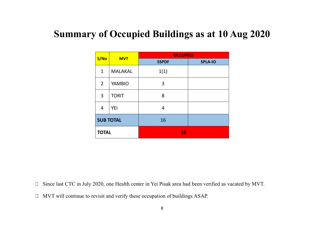# **Summary of Occupied Buildings as at 10 Aug 2020**

|                | <b>MVT</b>       | <b>OCCUPIED</b> |                |
|----------------|------------------|-----------------|----------------|
| S/No           |                  | <b>SSPDF</b>    | <b>SPLA-IO</b> |
| $\mathbf{1}$   | <b>MALAKAL</b>   | 1(1)            |                |
| $\overline{2}$ | <b>YAMBIO</b>    | 3               |                |
| 3              | <b>TORIT</b>     | 8               |                |
| 4              | <b>YEI</b>       | 4               |                |
|                | <b>SUB TOTAL</b> | 16              |                |
| <b>TOTAL</b>   |                  | 16              |                |

Since last CTC in July 2020, one Health center in Yei Pisak area had been verified as vacated by MVT.  $\Box$ 

MVT will continue to revisit and verify these occupation of buildings ASAP.  $\Box$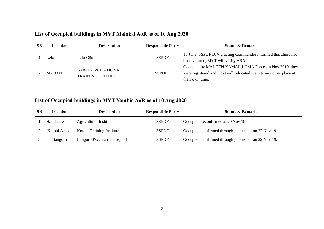#### **List of Occupied buildings in MVT Malakal AoR as of 10 Aug 2020**

| <b>SN</b> | <b>Location</b> | <b>Description</b>       | <b>Responsible Party</b> | <b>Status &amp; Remarks</b>                                        |
|-----------|-----------------|--------------------------|--------------------------|--------------------------------------------------------------------|
|           | Lelo –          | Lelo Clinic              | <b>SSPDF</b>             | 18 June, SSPDF DIV 2 acting Commander informed this clinic had     |
|           |                 |                          |                          | been vacated, MVT will verify ASAP.                                |
|           |                 | <b>BAKITA VOCATIONAL</b> |                          | Occupied by MAJ GEN KAMAL LUMA Forces in Nov 2019, they            |
|           | <b>MABAN</b>    | <b>TRAINING CENTRE</b>   | <b>SSPDF</b>             | were registered and Govt will relocated them to any other place at |
|           |                 |                          |                          | their own time.                                                    |

### **List of Occupied buildings in MVT Yambio AoR as of 10 Aug 2020**

| <b>SN</b> | Location     | <b>Description</b>           | <b>Responsible Party</b> | <b>Status &amp; Remarks</b>                          |
|-----------|--------------|------------------------------|--------------------------|------------------------------------------------------|
|           | Hai-Tarawa   | Agricultural Institute       | <b>SSPDF</b>             | Occupied, reconfirmed at 20 Nov 19.                  |
|           | Kotobi Amadi | Kotobi Training Institute    | <b>SSPDF</b>             | Occupied, confirmed through phone call on 22 Nov 19. |
|           | Bangoro      | Bangoro Psychiatric Hospital | <b>SSPDF</b>             | Occupied, confirmed through phone call on 22 Nov 19. |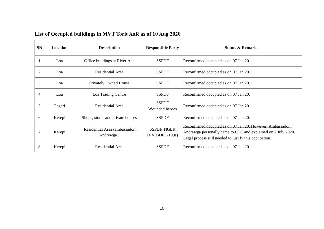|  | List of Occupied buildings in MVT Torit AoR as of 10 Aug 2020 |
|--|---------------------------------------------------------------|
|  |                                                               |

| <b>SN</b>      | Location | <b>Description</b>                        | <b>Responsible Party</b>             | <b>Status &amp; Remarks</b>                                                                                                                                                          |
|----------------|----------|-------------------------------------------|--------------------------------------|--------------------------------------------------------------------------------------------------------------------------------------------------------------------------------------|
|                | Loa      | Office buildings at River Aca             | <b>SSPDF</b>                         | Reconfirmed occupied as on 07 Jan 20.                                                                                                                                                |
| $\overline{2}$ | Loa      | Residential Area                          | <b>SSPDF</b>                         | Reconfirmed occupied as on 07 Jan 20.                                                                                                                                                |
| 3              | Loa      | <b>Privately Owned House</b>              | <b>SSPDF</b>                         | Reconfirmed occupied as on 07 Jan 20.                                                                                                                                                |
| $\overline{4}$ | Loa      | Loa Trading Centre                        | <b>SSPDF</b>                         | Reconfirmed occupied as on 07 Jan 20.                                                                                                                                                |
| 5              | Pageri   | Residential Area                          | <b>SSPDF</b><br>Wounded heroes       | Reconfirmed occupied as on 07 Jan 20.                                                                                                                                                |
| 6              | Kerepi   | Shops, stores and private houses          | <b>SSPDF</b>                         | Reconfirmed occupied as on 07 Jan 20.                                                                                                                                                |
|                | Kerepi   | Residential Area (ambassador<br>Andrewga) | <b>SSPDF TIGER</b><br>DIV(BDE 3 HQs) | Reconfirmed occupied as on 07 Jan 20. However, Ambassador<br>Andrewga personally came to CTC and explained on 7 July 2020.<br>Legal process still needed to justify this occupation. |
| 8              | Kerepi   | Residential Area                          | <b>SSPDF</b>                         | Reconfirmed occupied as on 07 Jan 20.                                                                                                                                                |